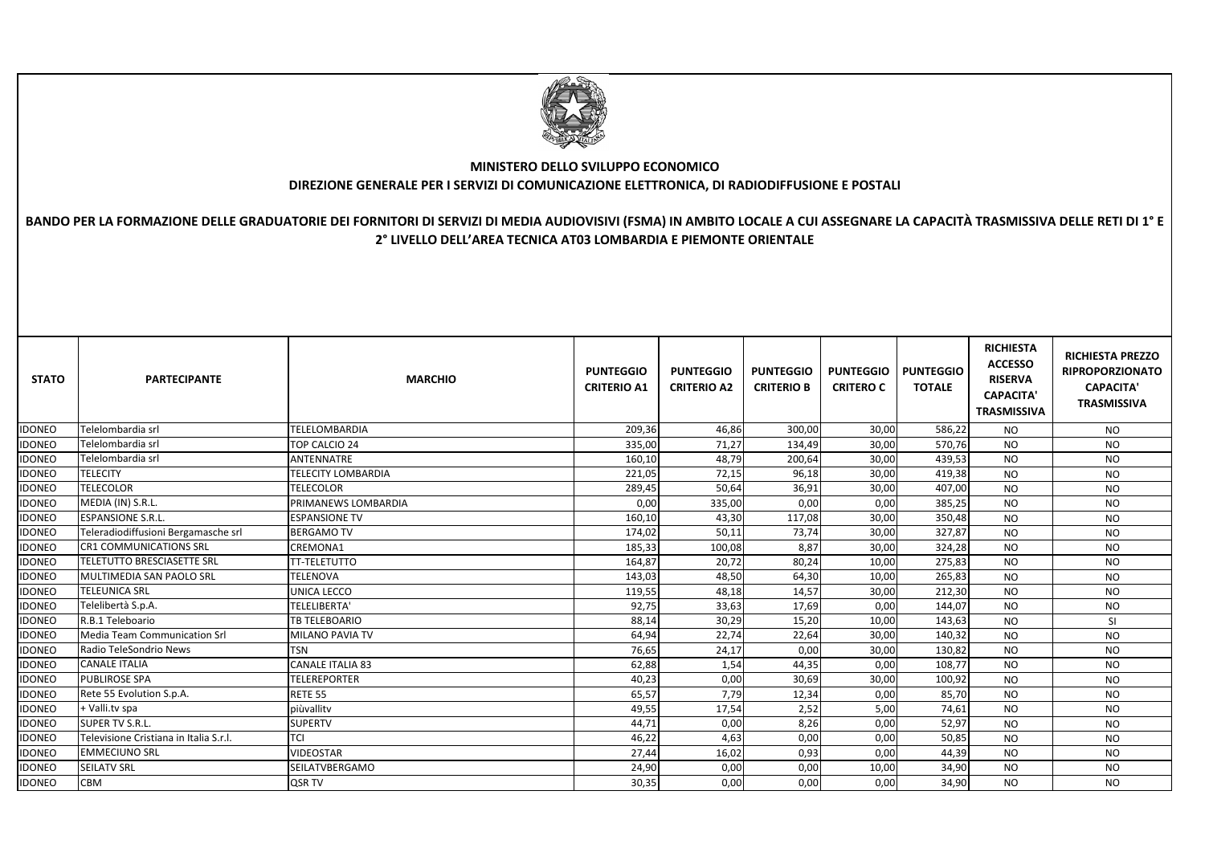| <b>STATO</b>  | <b>PARTECIPANTE</b>                    | <b>MARCHIO</b>            | <b>PUNTEGGIO</b><br><b>CRITERIO A1</b> | <b>PUNTEGGIO</b><br><b>CRITERIO A2</b> | <b>PUNTEGGIO</b><br><b>CRITERIO B</b> | <b>PUNTEGGIO</b><br><b>CRITERO C</b> | <b>PUNTEGGIO</b><br><b>TOTALE</b> | <b>RICHIESTA</b><br><b>ACCESSO</b><br><b>RISERVA</b><br><b>CAPACITA'</b><br><b>TRASMISSIVA</b> | <b>RICHIESTA PREZZO</b><br><b>RIPROPORZIONATO</b><br><b>CAPACITA'</b><br><b>TRASMISSIVA</b> |
|---------------|----------------------------------------|---------------------------|----------------------------------------|----------------------------------------|---------------------------------------|--------------------------------------|-----------------------------------|------------------------------------------------------------------------------------------------|---------------------------------------------------------------------------------------------|
| <b>IDONEO</b> | Telelombardia srl                      | TELELOMBARDIA             | 209,36                                 | 46,86                                  | 300,00                                | 30,00                                | 586,22                            | <b>NO</b>                                                                                      | <b>NO</b>                                                                                   |
| <b>IDONEO</b> | Telelombardia srl                      | TOP CALCIO 24             | 335,00                                 | 71,27                                  | 134,49                                | 30,00                                | 570,76                            | <b>NO</b>                                                                                      | <b>NO</b>                                                                                   |
| <b>IDONEO</b> | Telelombardia srl                      | <b>ANTENNATRE</b>         | 160,10                                 | 48,79                                  | 200,64                                | 30,00                                | 439,53                            | <b>NO</b>                                                                                      | <b>NO</b>                                                                                   |
| <b>IDONEO</b> | <b>TELECITY</b>                        | <b>TELECITY LOMBARDIA</b> | 221,05                                 | 72,15                                  | 96,18                                 | 30,00                                | 419,38                            | <b>NO</b>                                                                                      | <b>NO</b>                                                                                   |
| <b>IDONEO</b> | <b>TELECOLOR</b>                       | <b>TELECOLOR</b>          | 289,45                                 | 50,64                                  | 36,91                                 | 30,00                                | 407,00                            | <b>NO</b>                                                                                      | <b>NO</b>                                                                                   |
| <b>IDONEO</b> | MEDIA (IN) S.R.L.                      | PRIMANEWS LOMBARDIA       | 0,00                                   | 335,00                                 | 0,00                                  | 0,00                                 | 385,25                            | <b>NO</b>                                                                                      | <b>NO</b>                                                                                   |
| <b>IDONEO</b> | <b>ESPANSIONE S.R.L.</b>               | <b>ESPANSIONE TV</b>      | 160,10                                 | 43,30                                  | 117,08                                | 30,00                                | 350,48                            | <b>NO</b>                                                                                      | <b>NO</b>                                                                                   |
| <b>IDONEO</b> | Teleradiodiffusioni Bergamasche srl    | <b>BERGAMO TV</b>         | 174,02                                 | 50,11                                  | 73,74                                 | 30,00                                | 327,87                            | <b>NO</b>                                                                                      | <b>NO</b>                                                                                   |
| <b>IDONEO</b> | <b>CR1 COMMUNICATIONS SRL</b>          | CREMONA1                  | 185,33                                 | 100,08                                 | 8,87                                  | 30,00                                | 324,28                            | <b>NO</b>                                                                                      | <b>NO</b>                                                                                   |
| <b>IDONEO</b> | <b>TELETUTTO BRESCIASETTE SRL</b>      | <b>TT-TELETUTTO</b>       | 164,87                                 | 20,72                                  | 80,24                                 | 10,00                                | 275,83                            | <b>NO</b>                                                                                      | <b>NO</b>                                                                                   |
| <b>IDONEO</b> | MULTIMEDIA SAN PAOLO SRL               | TELENOVA                  | 143,03                                 | 48,50                                  | 64,30                                 | 10,00                                | 265,83                            | <b>NO</b>                                                                                      | <b>NO</b>                                                                                   |
| <b>IDONEO</b> | <b>TELEUNICA SRL</b>                   | <b>UNICA LECCO</b>        | 119,55                                 | 48,18                                  | 14,57                                 | 30,00                                | 212,30                            | <b>NO</b>                                                                                      | <b>NO</b>                                                                                   |
| <b>IDONEO</b> | Telelibertà S.p.A.                     | TELELIBERTA'              | 92,75                                  | 33,63                                  | 17,69                                 | 0,00                                 | 144,07                            | <b>NO</b>                                                                                      | <b>NO</b>                                                                                   |
| <b>IDONEO</b> | R.B.1 Teleboario                       | <b>TB TELEBOARIO</b>      | 88,14                                  | 30,29                                  | 15,20                                 | 10,00                                | 143,63                            | <b>NO</b>                                                                                      | SI                                                                                          |
| <b>IDONEO</b> | Media Team Communication Srl           | <b>MILANO PAVIA TV</b>    | 64,94                                  | 22,74                                  | 22,64                                 | 30,00                                | 140,32                            | <b>NO</b>                                                                                      | <b>NO</b>                                                                                   |
| <b>IDONEO</b> | Radio TeleSondrio News                 | <b>TSN</b>                | 76,65                                  | 24,17                                  | 0,00                                  | 30,00                                | 130,82                            | <b>NO</b>                                                                                      | <b>NO</b>                                                                                   |
| <b>IDONEO</b> | <b>CANALE ITALIA</b>                   | CANALE ITALIA 83          | 62,88                                  | 1,54                                   | 44,35                                 | 0,00                                 | 108,77                            | <b>NO</b>                                                                                      | <b>NO</b>                                                                                   |
| <b>IDONEO</b> | <b>PUBLIROSE SPA</b>                   | <b>TELEREPORTER</b>       | 40,23                                  | 0,00                                   | 30,69                                 | 30,00                                | 100,92                            | <b>NO</b>                                                                                      | <b>NO</b>                                                                                   |
| <b>IDONEO</b> | Rete 55 Evolution S.p.A.               | <b>RETE 55</b>            | 65,57                                  | 7,79                                   | 12,34                                 | 0,00                                 | 85,70                             | <b>NO</b>                                                                                      | <b>NO</b>                                                                                   |
| <b>IDONEO</b> | + Valli.tv spa                         | piùvallitv                | 49,55                                  | 17,54                                  | 2,52                                  | 5,00                                 | 74,61                             | <b>NO</b>                                                                                      | <b>NO</b>                                                                                   |
| <b>IDONEO</b> | <b>SUPER TV S.R.L.</b>                 | <b>SUPERTV</b>            | 44,71                                  | 0,00                                   | 8,26                                  | 0,00                                 | 52,97                             | <b>NO</b>                                                                                      | <b>NO</b>                                                                                   |
| <b>IDONEO</b> | Televisione Cristiana in Italia S.r.l. | <b>TCI</b>                | 46,22                                  | 4,63                                   | 0,00                                  | 0,00                                 | 50,85                             | <b>NO</b>                                                                                      | <b>NO</b>                                                                                   |
| <b>IDONEO</b> | <b>EMMECIUNO SRL</b>                   | <b>VIDEOSTAR</b>          | 27,44                                  | 16,02                                  | 0,93                                  | 0,00                                 | 44,39                             | <b>NO</b>                                                                                      | <b>NO</b>                                                                                   |
| <b>IDONEO</b> | <b>SEILATV SRL</b>                     | SEILATVBERGAMO            | 24,90                                  | 0,00                                   | 0,00                                  | 10,00                                | 34,90                             | <b>NO</b>                                                                                      | <b>NO</b>                                                                                   |
| <b>IDONEO</b> | <b>CBM</b>                             | <b>QSR TV</b>             | 30,35                                  | 0,00                                   | 0,00                                  | 0,00                                 | 34,90                             | <b>NO</b>                                                                                      | <b>NO</b>                                                                                   |



## **MINISTERO DELLO SVILUPPO ECONOMICODIREZIONE GENERALE PER I SERVIZI DI COMUNICAZIONE ELETTRONICA, DI RADIODIFFUSIONE E POSTALI**

## **BANDO PER LA FORMAZIONE DELLE GRADUATORIE DEI FORNITORI DI SERVIZI DI MEDIA AUDIOVISIVI (FSMA) IN AMBITO LOCALE A CUI ASSEGNARE LA CAPACITÀ TRASMISSIVA DELLE RETI DI 1° E 2° LIVELLO DELL'AREA TECNICA AT03 LOMBARDIA E PIEMONTE ORIENTALE**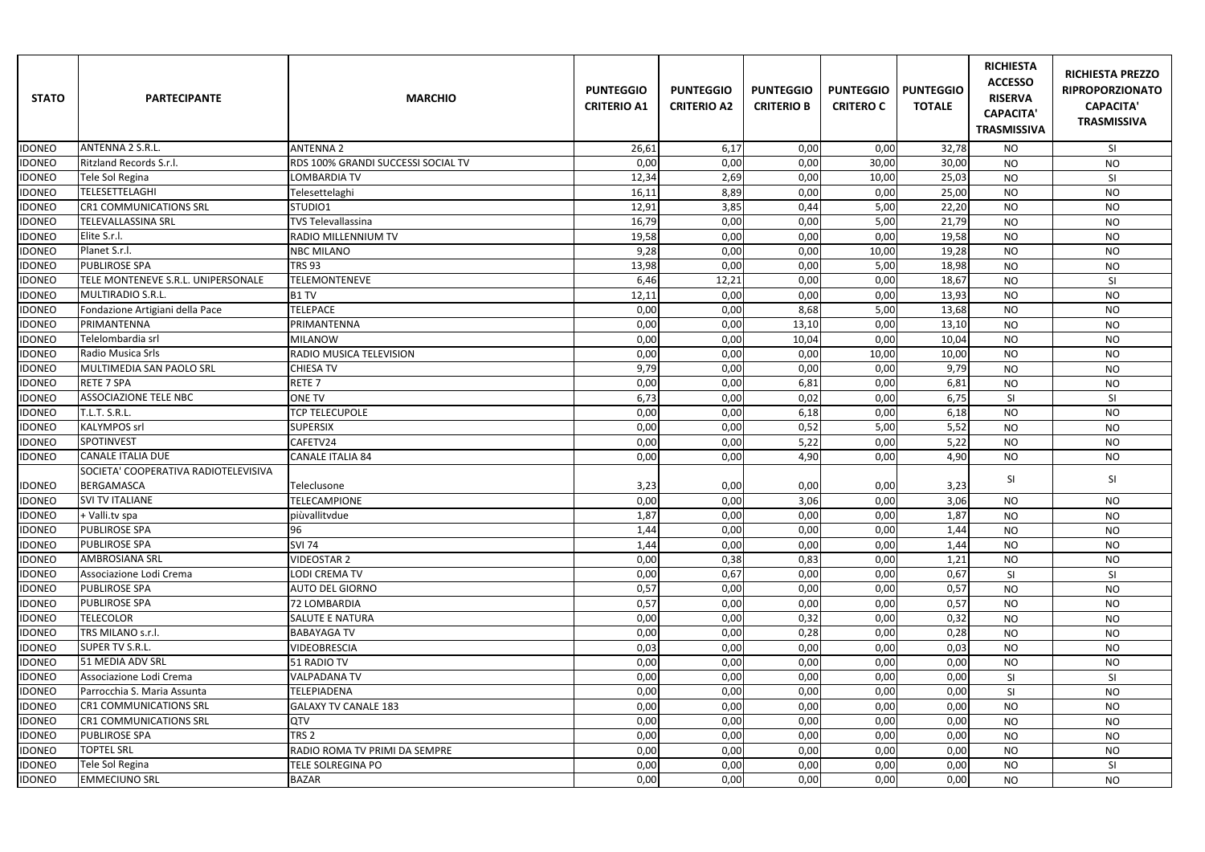| <b>STATO</b>  | <b>PARTECIPANTE</b>                  | <b>MARCHIO</b>                     | <b>PUNTEGGIO</b><br><b>CRITERIO A1</b> | <b>PUNTEGGIO</b><br><b>CRITERIO A2</b> | <b>PUNTEGGIO</b><br><b>CRITERIO B</b> | <b>PUNTEGGIO   PUNTEGGIO</b><br><b>CRITERO C</b> | <b>TOTALE</b> | <b>RICHIESTA</b><br><b>ACCESSO</b><br><b>RISERVA</b><br><b>CAPACITA'</b><br><b>TRASMISSIVA</b> | <b>RICHIESTA PREZZO</b><br><b>RIPROPORZIONATO</b><br><b>CAPACITA'</b><br><b>TRASMISSIVA</b> |
|---------------|--------------------------------------|------------------------------------|----------------------------------------|----------------------------------------|---------------------------------------|--------------------------------------------------|---------------|------------------------------------------------------------------------------------------------|---------------------------------------------------------------------------------------------|
| <b>IDONEO</b> | <b>ANTENNA 2 S.R.L</b>               | <b>ANTENNA 2</b>                   | 26,61                                  | 6,17                                   | 0,00                                  | 0,00                                             | 32,78         | <b>NO</b>                                                                                      | SI                                                                                          |
| <b>IDONEO</b> | <b>Ritzland Records S.r.I.</b>       | RDS 100% GRANDI SUCCESSI SOCIAL TV | 0,00                                   | 0,00                                   | 0,00                                  | 30,00                                            | 30,00         | <b>NO</b>                                                                                      | <b>NO</b>                                                                                   |
| <b>IDONEO</b> | Tele Sol Regina                      | <b>LOMBARDIA TV</b>                | 12,34                                  | 2,69                                   | 0,00                                  | 10,00                                            | 25,03         | <b>NO</b>                                                                                      | SI                                                                                          |
| <b>IDONEO</b> | <b>TELESETTELAGHI</b>                | Telesettelaghi                     | 16,11                                  | 8,89                                   | 0,00                                  | 0,00                                             | 25,00         | <b>NO</b>                                                                                      | <b>NO</b>                                                                                   |
| <b>IDONEO</b> | <b>CR1 COMMUNICATIONS SRL</b>        | STUDIO1                            | 12,91                                  | 3,85                                   | 0,44                                  | 5,00                                             | 22,20         | <b>NO</b>                                                                                      | <b>NO</b>                                                                                   |
| <b>IDONEO</b> | <b>TELEVALLASSINA SRL</b>            | <b>TVS Televallassina</b>          | 16,79                                  | 0,00                                   | 0,00                                  | 5,00                                             | 21,79         | <b>NO</b>                                                                                      | <b>NO</b>                                                                                   |
| <b>IDONEO</b> | Elite S.r.l.                         | RADIO MILLENNIUM TV                | 19,58                                  | 0,00                                   | 0,00                                  | 0,00                                             | 19,58         | <b>NO</b>                                                                                      | <b>NO</b>                                                                                   |
| <b>IDONEO</b> | Planet S.r.l.                        | <b>NBC MILANO</b>                  | 9,28                                   | 0,00                                   | 0,00                                  | 10,00                                            | 19,28         | <b>NO</b>                                                                                      | <b>NO</b>                                                                                   |
| <b>IDONEO</b> | <b>PUBLIROSE SPA</b>                 | <b>TRS 93</b>                      | 13,98                                  | 0,00                                   | 0,00                                  | 5,00                                             | 18,98         | <b>NO</b>                                                                                      | <b>NO</b>                                                                                   |
| <b>IDONEO</b> | TELE MONTENEVE S.R.L. UNIPERSONALE   | <b>TELEMONTENEVE</b>               | 6,46                                   | 12,21                                  | 0,00                                  | 0,00                                             | 18,67         | <b>NO</b>                                                                                      | <b>SI</b>                                                                                   |
| <b>IDONEO</b> | MULTIRADIO S.R.L.                    | B1 TV                              | 12,11                                  | 0,00                                   | 0,00                                  | 0,00                                             | 13,93         | <b>NO</b>                                                                                      | <b>NO</b>                                                                                   |
| <b>IDONEO</b> | Fondazione Artigiani della Pace      | <b>TELEPACE</b>                    | 0,00                                   | 0,00                                   | 8,68                                  | 5,00                                             | 13,68         | <b>NO</b>                                                                                      | <b>NO</b>                                                                                   |
| <b>IDONEO</b> | PRIMANTENNA                          | PRIMANTENNA                        | 0,00                                   | 0,00                                   | 13,10                                 | 0,00                                             | 13,10         | <b>NO</b>                                                                                      | <b>NO</b>                                                                                   |
| <b>IDONEO</b> | Telelombardia srl                    | <b>MILANOW</b>                     | 0,00                                   | 0,00                                   | 10,04                                 | 0,00                                             | 10,04         | <b>NO</b>                                                                                      | <b>NO</b>                                                                                   |
| <b>IDONEO</b> | <b>Radio Musica Srls</b>             | RADIO MUSICA TELEVISION            | 0,00                                   | 0,00                                   | 0,00                                  | 10,00                                            | 10,00         | <b>NO</b>                                                                                      | <b>NO</b>                                                                                   |
| <b>IDONEO</b> | MULTIMEDIA SAN PAOLO SRL             | <b>CHIESA TV</b>                   | 9,79                                   | 0,00                                   | 0,00                                  | 0,00                                             | 9,79          | <b>NO</b>                                                                                      | <b>NO</b>                                                                                   |
| <b>IDONEO</b> | <b>RETE 7 SPA</b>                    | RETE <sub>7</sub>                  | 0,00                                   | 0,00                                   | 6,81                                  | 0,00                                             | 6,81          | <b>NO</b>                                                                                      | <b>NO</b>                                                                                   |
| <b>IDONEO</b> | <b>ASSOCIAZIONE TELE NBC</b>         | <b>ONE TV</b>                      | 6,73                                   | 0,00                                   | 0,02                                  | 0,00                                             | 6,75          | SI                                                                                             | SI                                                                                          |
| <b>IDONEO</b> | T.L.T. S.R.L.                        | <b>TCP TELECUPOLE</b>              | 0,00                                   | 0,00                                   | 6,18                                  | 0,00                                             | 6,18          | <b>NO</b>                                                                                      | <b>NO</b>                                                                                   |
| <b>IDONEO</b> | <b>KALYMPOS srl</b>                  | <b>SUPERSIX</b>                    | 0,00                                   | 0,00                                   | 0,52                                  | 5,00                                             | 5,52          | <b>NO</b>                                                                                      | <b>NO</b>                                                                                   |
| <b>IDONEO</b> | <b>SPOTINVEST</b>                    | CAFETV24                           | 0,00                                   | 0,00                                   | 5,22                                  | 0,00                                             | 5,22          | <b>NO</b>                                                                                      | <b>NO</b>                                                                                   |
| <b>IDONEO</b> | <b>CANALE ITALIA DUE</b>             | <b>CANALE ITALIA 84</b>            | 0,00                                   | 0,00                                   | 4,90                                  | 0,00                                             | 4,90          | <b>NO</b>                                                                                      | <b>NO</b>                                                                                   |
|               | SOCIETA' COOPERATIVA RADIOTELEVISIVA |                                    |                                        |                                        |                                       |                                                  |               | SI                                                                                             | <b>SI</b>                                                                                   |
| <b>IDONEO</b> | BERGAMASCA                           | Teleclusone                        | 3,23                                   | 0,00                                   | 0,00                                  | 0,00                                             | 3,23          |                                                                                                |                                                                                             |
| <b>IDONEO</b> | <b>SVI TV ITALIANE</b>               | <b>TELECAMPIONE</b>                | 0,00                                   | 0,00                                   | 3,06                                  | 0,00                                             | 3,06          | <b>NO</b>                                                                                      | <b>NO</b>                                                                                   |
| <b>IDONEO</b> | + Valli.tv spa                       | piùvallitvdue                      | 1,87                                   | 0,00                                   | 0,00                                  | 0,00                                             | 1,87          | <b>NO</b>                                                                                      | <b>NO</b>                                                                                   |
| <b>IDONEO</b> | <b>PUBLIROSE SPA</b>                 | 96                                 | 1,44                                   | 0,00                                   | 0,00                                  | 0,00                                             | 1,44          | <b>NO</b>                                                                                      | <b>NO</b>                                                                                   |
| <b>IDONEO</b> | <b>PUBLIROSE SPA</b>                 | <b>SVI 74</b>                      | 1,44                                   | 0,00                                   | 0,00                                  | 0,00                                             | 1,44          | <b>NO</b>                                                                                      | <b>NO</b>                                                                                   |
| <b>IDONEO</b> | <b>AMBROSIANA SRL</b>                | <b>VIDEOSTAR 2</b>                 | 0,00                                   | 0,38                                   | 0,83                                  | 0,00                                             | 1,21          | <b>NO</b>                                                                                      | <b>NO</b>                                                                                   |
| <b>IDONEO</b> | Associazione Lodi Crema              | <b>LODI CREMA TV</b>               | 0,00                                   | 0,67                                   | 0,00                                  | 0,00                                             | 0,67          | SI                                                                                             | SI                                                                                          |
| <b>IDONEO</b> | <b>PUBLIROSE SPA</b>                 | <b>AUTO DEL GIORNO</b>             | 0,57                                   | 0,00                                   | 0,00                                  | 0,00                                             | 0,57          | <b>NO</b>                                                                                      | <b>NO</b>                                                                                   |
| <b>IDONEO</b> | <b>PUBLIROSE SPA</b>                 | 72 LOMBARDIA                       | 0,57                                   | 0,00                                   | 0,00                                  | 0,00                                             | 0,57          | <b>NO</b>                                                                                      | <b>NO</b>                                                                                   |
| <b>IDONEO</b> | <b>TELECOLOR</b>                     | <b>SALUTE E NATURA</b>             | 0,00                                   | 0,00                                   | 0,32                                  | 0,00                                             | 0,32          | <b>NO</b>                                                                                      | <b>NO</b>                                                                                   |
| <b>IDONEO</b> | TRS MILANO s.r.l.                    | <b>BABAYAGA TV</b>                 | 0,00                                   | 0,00                                   | 0,28                                  | 0,00                                             | 0,28          | <b>NO</b>                                                                                      | <b>NO</b>                                                                                   |
| <b>IDONEO</b> | <b>SUPER TV S.R.L.</b>               | <b>VIDEOBRESCIA</b>                | 0,03                                   | 0,00                                   | 0,00                                  | 0,00                                             | 0,03          | <b>NO</b>                                                                                      | <b>NO</b>                                                                                   |
| <b>IDONEO</b> | 51 MEDIA ADV SRL                     | 51 RADIO TV                        | 0,00                                   | 0,00                                   | 0,00                                  | 0,00                                             | 0,00          | <b>NO</b>                                                                                      | <b>NO</b>                                                                                   |
| <b>IDONEO</b> | Associazione Lodi Crema              | <b>VALPADANA TV</b>                | 0,00                                   | 0,00                                   | 0,00                                  | 0,00                                             | 0,00          | SI                                                                                             | SI                                                                                          |
| <b>IDONEO</b> | Parrocchia S. Maria Assunta          | <b>TELEPIADENA</b>                 | 0,00                                   | 0,00                                   | 0,00                                  | 0,00                                             | 0,00          | SI                                                                                             | <b>NO</b>                                                                                   |
| <b>IDONEO</b> | <b>CR1 COMMUNICATIONS SRL</b>        | <b>GALAXY TV CANALE 183</b>        | 0,00                                   | 0,00                                   | 0,00                                  | 0,00                                             | 0,00          | <b>NO</b>                                                                                      | <b>NO</b>                                                                                   |
| <b>IDONEO</b> | <b>CR1 COMMUNICATIONS SRL</b>        | QTV                                | 0,00                                   | 0,00                                   | 0,00                                  | 0,00                                             | 0,00          | <b>NO</b>                                                                                      | <b>NO</b>                                                                                   |
| <b>IDONEO</b> | <b>PUBLIROSE SPA</b>                 | TRS <sub>2</sub>                   | 0,00                                   | 0,00                                   | 0,00                                  | 0,00                                             | 0,00          | <b>NO</b>                                                                                      | <b>NO</b>                                                                                   |
| <b>IDONEO</b> | <b>TOPTEL SRL</b>                    | RADIO ROMA TV PRIMI DA SEMPRE      | 0,00                                   | 0,00                                   | 0,00                                  | 0,00                                             | 0,00          | <b>NO</b>                                                                                      | <b>NO</b>                                                                                   |
| <b>IDONEO</b> | Tele Sol Regina                      | TELE SOLREGINA PO                  | 0,00                                   | 0,00                                   | 0,00                                  | 0,00                                             | 0,00          | <b>NO</b>                                                                                      | <b>SI</b>                                                                                   |
| <b>IDONEO</b> | <b>EMMECIUNO SRL</b>                 | <b>BAZAR</b>                       | 0,00                                   | 0,00                                   | 0,00                                  | 0,00                                             | 0,00          | <b>NO</b>                                                                                      | <b>NO</b>                                                                                   |